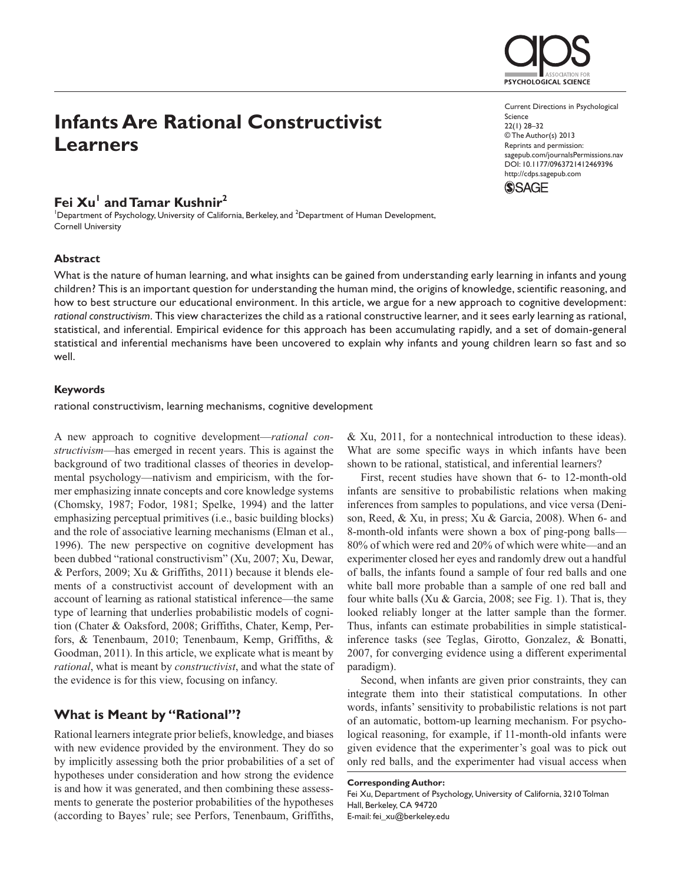# **Infants Are Rational Constructivist Learners**

## Fei Xu<sup>1</sup> and Tamar Kushnir<sup>2</sup>

<sup>1</sup>Department of Psychology, University of California, Berkeley, and <sup>2</sup>Department of Human Development, Cornell University

### **Abstract**

What is the nature of human learning, and what insights can be gained from understanding early learning in infants and young children? This is an important question for understanding the human mind, the origins of knowledge, scientific reasoning, and how to best structure our educational environment. In this article, we argue for a new approach to cognitive development: *rational constructivism*. This view characterizes the child as a rational constructive learner, and it sees early learning as rational, statistical, and inferential. Empirical evidence for this approach has been accumulating rapidly, and a set of domain-general statistical and inferential mechanisms have been uncovered to explain why infants and young children learn so fast and so well.

## **Keywords**

rational constructivism, learning mechanisms, cognitive development

A new approach to cognitive development—*rational constructivism*—has emerged in recent years. This is against the background of two traditional classes of theories in developmental psychology—nativism and empiricism, with the former emphasizing innate concepts and core knowledge systems (Chomsky, 1987; Fodor, 1981; Spelke, 1994) and the latter emphasizing perceptual primitives (i.e., basic building blocks) and the role of associative learning mechanisms (Elman et al., 1996). The new perspective on cognitive development has been dubbed "rational constructivism" (Xu, 2007; Xu, Dewar, & Perfors, 2009; Xu & Griffiths, 2011) because it blends elements of a constructivist account of development with an account of learning as rational statistical inference—the same type of learning that underlies probabilistic models of cognition (Chater & Oaksford, 2008; Griffiths, Chater, Kemp, Perfors, & Tenenbaum, 2010; Tenenbaum, Kemp, Griffiths, & Goodman, 2011). In this article, we explicate what is meant by *rational*, what is meant by *constructivist*, and what the state of the evidence is for this view, focusing on infancy.

## **What is Meant by "Rational"?**

Rational learners integrate prior beliefs, knowledge, and biases with new evidence provided by the environment. They do so by implicitly assessing both the prior probabilities of a set of hypotheses under consideration and how strong the evidence is and how it was generated, and then combining these assessments to generate the posterior probabilities of the hypotheses (according to Bayes' rule; see Perfors, Tenenbaum, Griffiths,

& Xu, 2011, for a nontechnical introduction to these ideas). What are some specific ways in which infants have been shown to be rational, statistical, and inferential learners?

First, recent studies have shown that 6- to 12-month-old infants are sensitive to probabilistic relations when making inferences from samples to populations, and vice versa (Denison, Reed, & Xu, in press; Xu & Garcia, 2008). When 6- and 8-month-old infants were shown a box of ping-pong balls— 80% of which were red and 20% of which were white—and an experimenter closed her eyes and randomly drew out a handful of balls, the infants found a sample of four red balls and one white ball more probable than a sample of one red ball and four white balls (Xu & Garcia, 2008; see Fig. 1). That is, they looked reliably longer at the latter sample than the former. Thus, infants can estimate probabilities in simple statisticalinference tasks (see Teglas, Girotto, Gonzalez, & Bonatti, 2007, for converging evidence using a different experimental paradigm).

Second, when infants are given prior constraints, they can integrate them into their statistical computations. In other words, infants' sensitivity to probabilistic relations is not part of an automatic, bottom-up learning mechanism. For psychological reasoning, for example, if 11-month-old infants were given evidence that the experimenter's goal was to pick out only red balls, and the experimenter had visual access when

#### **Corresponding Author:**

Fei Xu, Department of Psychology, University of California, 3210 Tolman Hall, Berkeley, CA 94720 E-mail: fei\_xu@berkeley.edu

Current Directions in Psychological Science 22(1) 28–32 © The Author(s) 2013 Reprints and permission: sagepub.com/journalsPermissions.nav DOI: 10.1177/0963721412469396 http://cdps.sagepub.com **SSAGE** 

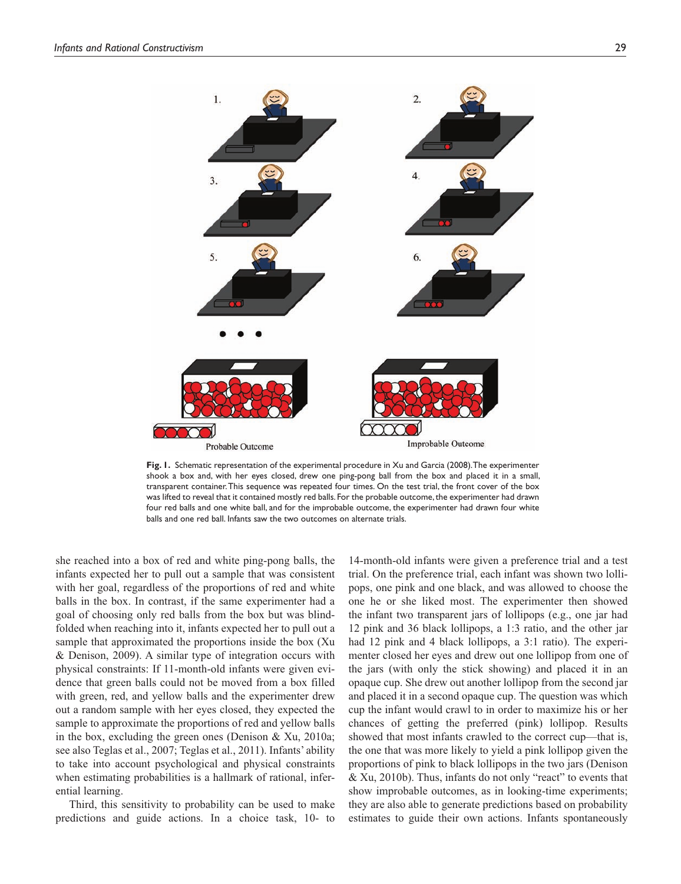

**Fig. 1.** Schematic representation of the experimental procedure in Xu and Garcia (2008). The experimenter shook a box and, with her eyes closed, drew one ping-pong ball from the box and placed it in a small, transparent container. This sequence was repeated four times. On the test trial, the front cover of the box was lifted to reveal that it contained mostly red balls. For the probable outcome, the experimenter had drawn four red balls and one white ball, and for the improbable outcome, the experimenter had drawn four white balls and one red ball. Infants saw the two outcomes on alternate trials.

she reached into a box of red and white ping-pong balls, the infants expected her to pull out a sample that was consistent with her goal, regardless of the proportions of red and white balls in the box. In contrast, if the same experimenter had a goal of choosing only red balls from the box but was blindfolded when reaching into it, infants expected her to pull out a sample that approximated the proportions inside the box (Xu & Denison, 2009). A similar type of integration occurs with physical constraints: If 11-month-old infants were given evidence that green balls could not be moved from a box filled with green, red, and yellow balls and the experimenter drew out a random sample with her eyes closed, they expected the sample to approximate the proportions of red and yellow balls in the box, excluding the green ones (Denison & Xu, 2010a; see also Teglas et al., 2007; Teglas et al., 2011). Infants' ability to take into account psychological and physical constraints when estimating probabilities is a hallmark of rational, inferential learning.

Third, this sensitivity to probability can be used to make predictions and guide actions. In a choice task, 10- to

14-month-old infants were given a preference trial and a test trial. On the preference trial, each infant was shown two lollipops, one pink and one black, and was allowed to choose the one he or she liked most. The experimenter then showed the infant two transparent jars of lollipops (e.g., one jar had 12 pink and 36 black lollipops, a 1:3 ratio, and the other jar had 12 pink and 4 black lollipops, a 3:1 ratio). The experimenter closed her eyes and drew out one lollipop from one of the jars (with only the stick showing) and placed it in an opaque cup. She drew out another lollipop from the second jar and placed it in a second opaque cup. The question was which cup the infant would crawl to in order to maximize his or her chances of getting the preferred (pink) lollipop. Results showed that most infants crawled to the correct cup—that is, the one that was more likely to yield a pink lollipop given the proportions of pink to black lollipops in the two jars (Denison & Xu, 2010b). Thus, infants do not only "react" to events that show improbable outcomes, as in looking-time experiments; they are also able to generate predictions based on probability estimates to guide their own actions. Infants spontaneously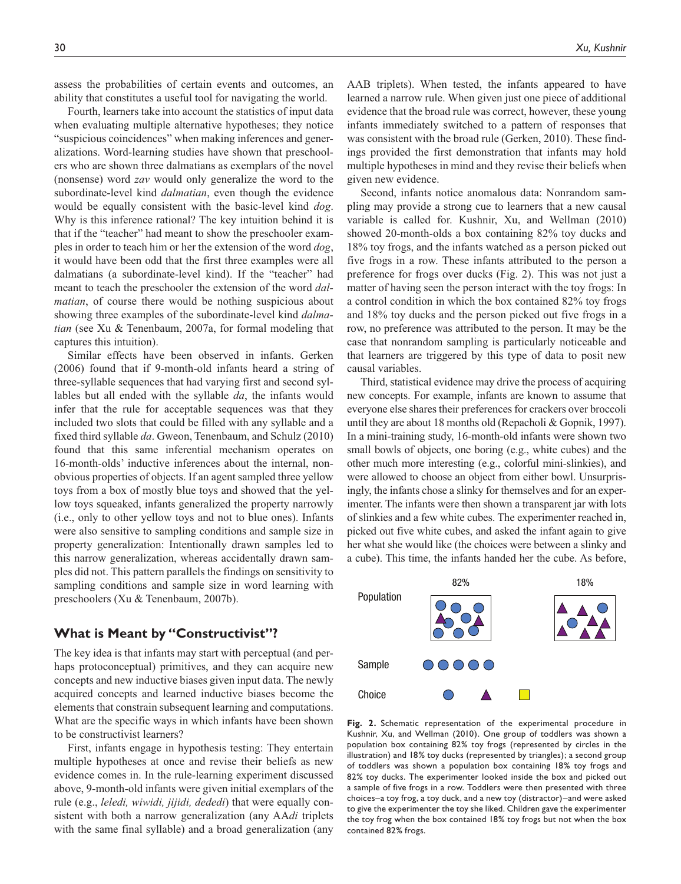assess the probabilities of certain events and outcomes, an ability that constitutes a useful tool for navigating the world.

Fourth, learners take into account the statistics of input data when evaluating multiple alternative hypotheses; they notice "suspicious coincidences" when making inferences and generalizations. Word-learning studies have shown that preschoolers who are shown three dalmatians as exemplars of the novel (nonsense) word *zav* would only generalize the word to the subordinate-level kind *dalmatian*, even though the evidence would be equally consistent with the basic-level kind *dog*. Why is this inference rational? The key intuition behind it is that if the "teacher" had meant to show the preschooler examples in order to teach him or her the extension of the word *dog*, it would have been odd that the first three examples were all dalmatians (a subordinate-level kind). If the "teacher" had meant to teach the preschooler the extension of the word *dalmatian*, of course there would be nothing suspicious about showing three examples of the subordinate-level kind *dalmatian* (see Xu & Tenenbaum, 2007a, for formal modeling that captures this intuition).

Similar effects have been observed in infants. Gerken (2006) found that if 9-month-old infants heard a string of three-syllable sequences that had varying first and second syllables but all ended with the syllable *da*, the infants would infer that the rule for acceptable sequences was that they included two slots that could be filled with any syllable and a fixed third syllable *da*. Gweon, Tenenbaum, and Schulz (2010) found that this same inferential mechanism operates on 16-month-olds' inductive inferences about the internal, nonobvious properties of objects. If an agent sampled three yellow toys from a box of mostly blue toys and showed that the yellow toys squeaked, infants generalized the property narrowly (i.e., only to other yellow toys and not to blue ones). Infants were also sensitive to sampling conditions and sample size in property generalization: Intentionally drawn samples led to this narrow generalization, whereas accidentally drawn samples did not. This pattern parallels the findings on sensitivity to sampling conditions and sample size in word learning with preschoolers (Xu & Tenenbaum, 2007b).

## **What is Meant by "Constructivist"?**

The key idea is that infants may start with perceptual (and perhaps protoconceptual) primitives, and they can acquire new concepts and new inductive biases given input data. The newly acquired concepts and learned inductive biases become the elements that constrain subsequent learning and computations. What are the specific ways in which infants have been shown to be constructivist learners?

First, infants engage in hypothesis testing: They entertain multiple hypotheses at once and revise their beliefs as new evidence comes in. In the rule-learning experiment discussed above, 9-month-old infants were given initial exemplars of the rule (e.g., *leledi, wiwidi, jijidi, dededi*) that were equally consistent with both a narrow generalization (any AA*di* triplets with the same final syllable) and a broad generalization (any

AAB triplets). When tested, the infants appeared to have learned a narrow rule. When given just one piece of additional evidence that the broad rule was correct, however, these young infants immediately switched to a pattern of responses that was consistent with the broad rule (Gerken, 2010). These findings provided the first demonstration that infants may hold multiple hypotheses in mind and they revise their beliefs when given new evidence.

Second, infants notice anomalous data: Nonrandom sampling may provide a strong cue to learners that a new causal variable is called for. Kushnir, Xu, and Wellman (2010) showed 20-month-olds a box containing 82% toy ducks and 18% toy frogs, and the infants watched as a person picked out five frogs in a row. These infants attributed to the person a preference for frogs over ducks (Fig. 2). This was not just a matter of having seen the person interact with the toy frogs: In a control condition in which the box contained 82% toy frogs and 18% toy ducks and the person picked out five frogs in a row, no preference was attributed to the person. It may be the case that nonrandom sampling is particularly noticeable and that learners are triggered by this type of data to posit new causal variables.

Third, statistical evidence may drive the process of acquiring new concepts. For example, infants are known to assume that everyone else shares their preferences for crackers over broccoli until they are about 18 months old (Repacholi & Gopnik, 1997). In a mini-training study, 16-month-old infants were shown two small bowls of objects, one boring (e.g., white cubes) and the other much more interesting (e.g., colorful mini-slinkies), and were allowed to choose an object from either bowl. Unsurprisingly, the infants chose a slinky for themselves and for an experimenter. The infants were then shown a transparent jar with lots of slinkies and a few white cubes. The experimenter reached in, picked out five white cubes, and asked the infant again to give her what she would like (the choices were between a slinky and a cube). This time, the infants handed her the cube. As before,



**Fig. 2.** Schematic representation of the experimental procedure in Kushnir, Xu, and Wellman (2010). One group of toddlers was shown a population box containing 82% toy frogs (represented by circles in the illustration) and 18% toy ducks (represented by triangles); a second group of toddlers was shown a population box containing 18% toy frogs and 82% toy ducks. The experimenter looked inside the box and picked out a sample of five frogs in a row. Toddlers were then presented with three choices–a toy frog, a toy duck, and a new toy (distractor)–and were asked to give the experimenter the toy she liked. Children gave the experimenter the toy frog when the box contained 18% toy frogs but not when the box contained 82% frogs.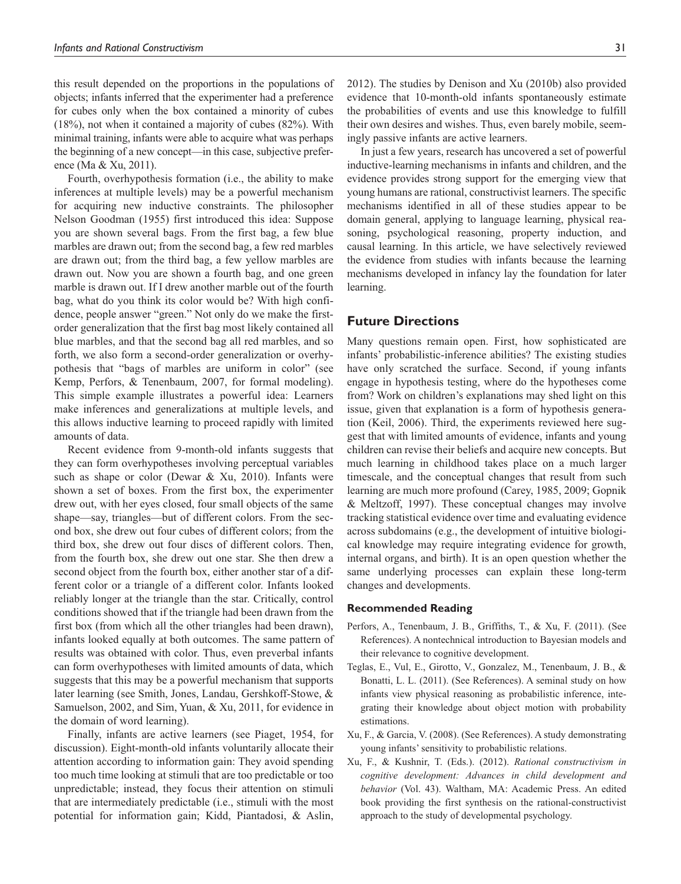this result depended on the proportions in the populations of objects; infants inferred that the experimenter had a preference for cubes only when the box contained a minority of cubes (18%), not when it contained a majority of cubes (82%). With minimal training, infants were able to acquire what was perhaps the beginning of a new concept—in this case, subjective preference (Ma & Xu, 2011).

Fourth, overhypothesis formation (i.e., the ability to make inferences at multiple levels) may be a powerful mechanism for acquiring new inductive constraints. The philosopher Nelson Goodman (1955) first introduced this idea: Suppose you are shown several bags. From the first bag, a few blue marbles are drawn out; from the second bag, a few red marbles are drawn out; from the third bag, a few yellow marbles are drawn out. Now you are shown a fourth bag, and one green marble is drawn out. If I drew another marble out of the fourth bag, what do you think its color would be? With high confidence, people answer "green." Not only do we make the firstorder generalization that the first bag most likely contained all blue marbles, and that the second bag all red marbles, and so forth, we also form a second-order generalization or overhypothesis that "bags of marbles are uniform in color" (see Kemp, Perfors, & Tenenbaum, 2007, for formal modeling). This simple example illustrates a powerful idea: Learners make inferences and generalizations at multiple levels, and this allows inductive learning to proceed rapidly with limited amounts of data.

Recent evidence from 9-month-old infants suggests that they can form overhypotheses involving perceptual variables such as shape or color (Dewar & Xu, 2010). Infants were shown a set of boxes. From the first box, the experimenter drew out, with her eyes closed, four small objects of the same shape—say, triangles—but of different colors. From the second box, she drew out four cubes of different colors; from the third box, she drew out four discs of different colors. Then, from the fourth box, she drew out one star. She then drew a second object from the fourth box, either another star of a different color or a triangle of a different color. Infants looked reliably longer at the triangle than the star. Critically, control conditions showed that if the triangle had been drawn from the first box (from which all the other triangles had been drawn), infants looked equally at both outcomes. The same pattern of results was obtained with color. Thus, even preverbal infants can form overhypotheses with limited amounts of data, which suggests that this may be a powerful mechanism that supports later learning (see Smith, Jones, Landau, Gershkoff-Stowe, & Samuelson, 2002, and Sim, Yuan, & Xu, 2011, for evidence in the domain of word learning).

Finally, infants are active learners (see Piaget, 1954, for discussion). Eight-month-old infants voluntarily allocate their attention according to information gain: They avoid spending too much time looking at stimuli that are too predictable or too unpredictable; instead, they focus their attention on stimuli that are intermediately predictable (i.e., stimuli with the most potential for information gain; Kidd, Piantadosi, & Aslin,

2012). The studies by Denison and Xu (2010b) also provided evidence that 10-month-old infants spontaneously estimate the probabilities of events and use this knowledge to fulfill their own desires and wishes. Thus, even barely mobile, seemingly passive infants are active learners.

In just a few years, research has uncovered a set of powerful inductive-learning mechanisms in infants and children, and the evidence provides strong support for the emerging view that young humans are rational, constructivist learners. The specific mechanisms identified in all of these studies appear to be domain general, applying to language learning, physical reasoning, psychological reasoning, property induction, and causal learning. In this article, we have selectively reviewed the evidence from studies with infants because the learning mechanisms developed in infancy lay the foundation for later learning.

### **Future Directions**

Many questions remain open. First, how sophisticated are infants' probabilistic-inference abilities? The existing studies have only scratched the surface. Second, if young infants engage in hypothesis testing, where do the hypotheses come from? Work on children's explanations may shed light on this issue, given that explanation is a form of hypothesis generation (Keil, 2006). Third, the experiments reviewed here suggest that with limited amounts of evidence, infants and young children can revise their beliefs and acquire new concepts. But much learning in childhood takes place on a much larger timescale, and the conceptual changes that result from such learning are much more profound (Carey, 1985, 2009; Gopnik & Meltzoff, 1997). These conceptual changes may involve tracking statistical evidence over time and evaluating evidence across subdomains (e.g., the development of intuitive biological knowledge may require integrating evidence for growth, internal organs, and birth). It is an open question whether the same underlying processes can explain these long-term changes and developments.

#### **Recommended Reading**

- Perfors, A., Tenenbaum, J. B., Griffiths, T., & Xu, F. (2011). (See References). A nontechnical introduction to Bayesian models and their relevance to cognitive development.
- Teglas, E., Vul, E., Girotto, V., Gonzalez, M., Tenenbaum, J. B., & Bonatti, L. L. (2011). (See References). A seminal study on how infants view physical reasoning as probabilistic inference, integrating their knowledge about object motion with probability estimations.
- Xu, F., & Garcia, V. (2008). (See References). A study demonstrating young infants' sensitivity to probabilistic relations.
- Xu, F., & Kushnir, T. (Eds.). (2012). *Rational constructivism in cognitive development: Advances in child development and behavior* (Vol. 43). Waltham, MA: Academic Press. An edited book providing the first synthesis on the rational-constructivist approach to the study of developmental psychology.